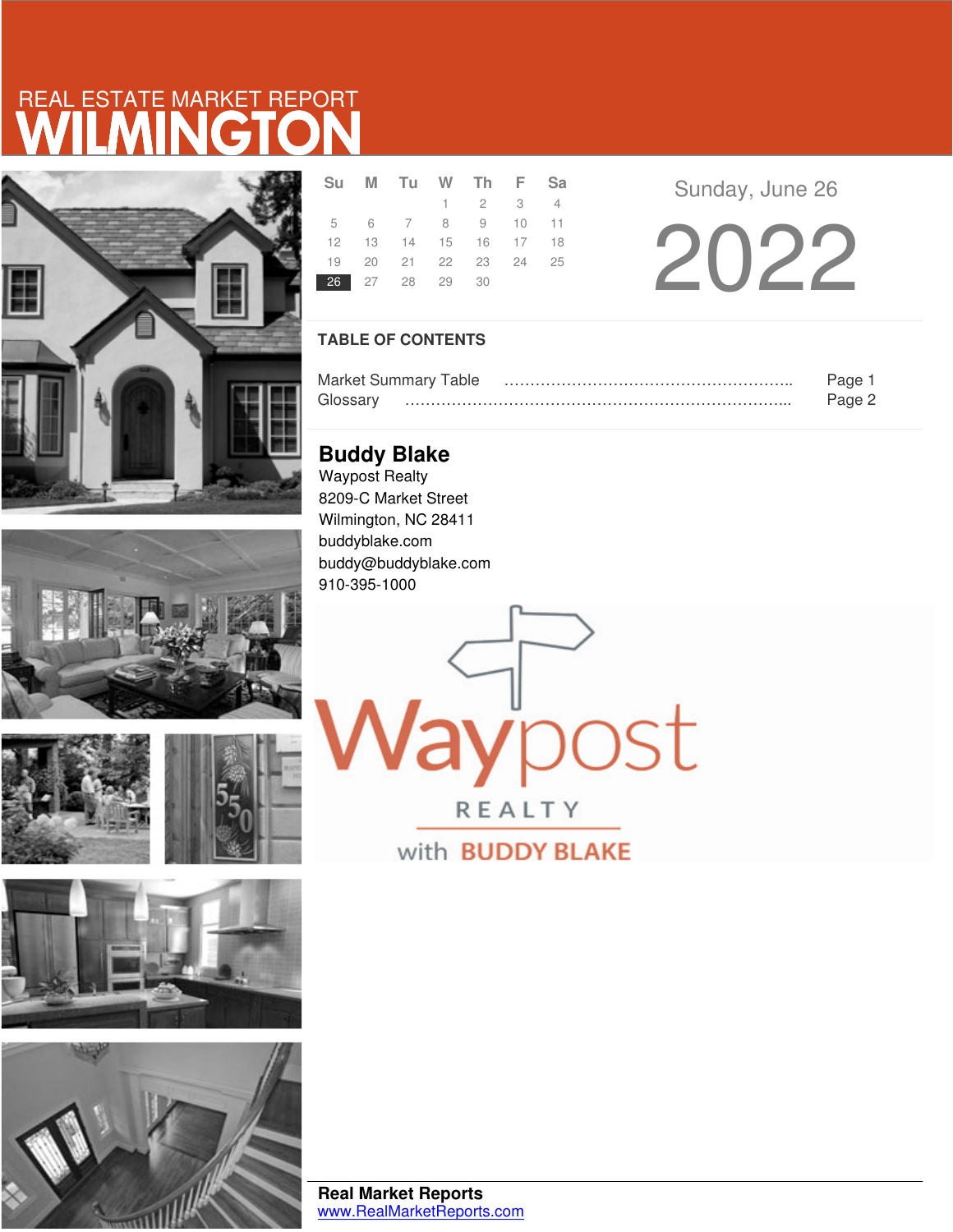# WILMINGTON REAL ESTATE MARKET REPORT











|  | Su M Tu W Th F Sa          |                             |  |  |
|--|----------------------------|-----------------------------|--|--|
|  |                            | $1 \quad 2 \quad 3 \quad 4$ |  |  |
|  | 5 6 7 8 9 10 11            |                             |  |  |
|  | 12  13  14  15  16  17  18 |                             |  |  |
|  | 19 20 21 22 23 24 25       |                             |  |  |
|  | 26 27 28 29 30             |                             |  |  |

Sunday, June 26

2022

### **TABLE OF CONTENTS**

| <b>Market Summary Table</b> |  |
|-----------------------------|--|
|                             |  |

aypost

REALTY

with **BUDDY BLAKE** 

**Buddy Blake** Waypost Realty 8209-C Market Street Wilmington, NC 28411 buddyblake.com buddy@buddyblake.com 910-395-1000

**Real Market Reports** www.RealMarketReports.com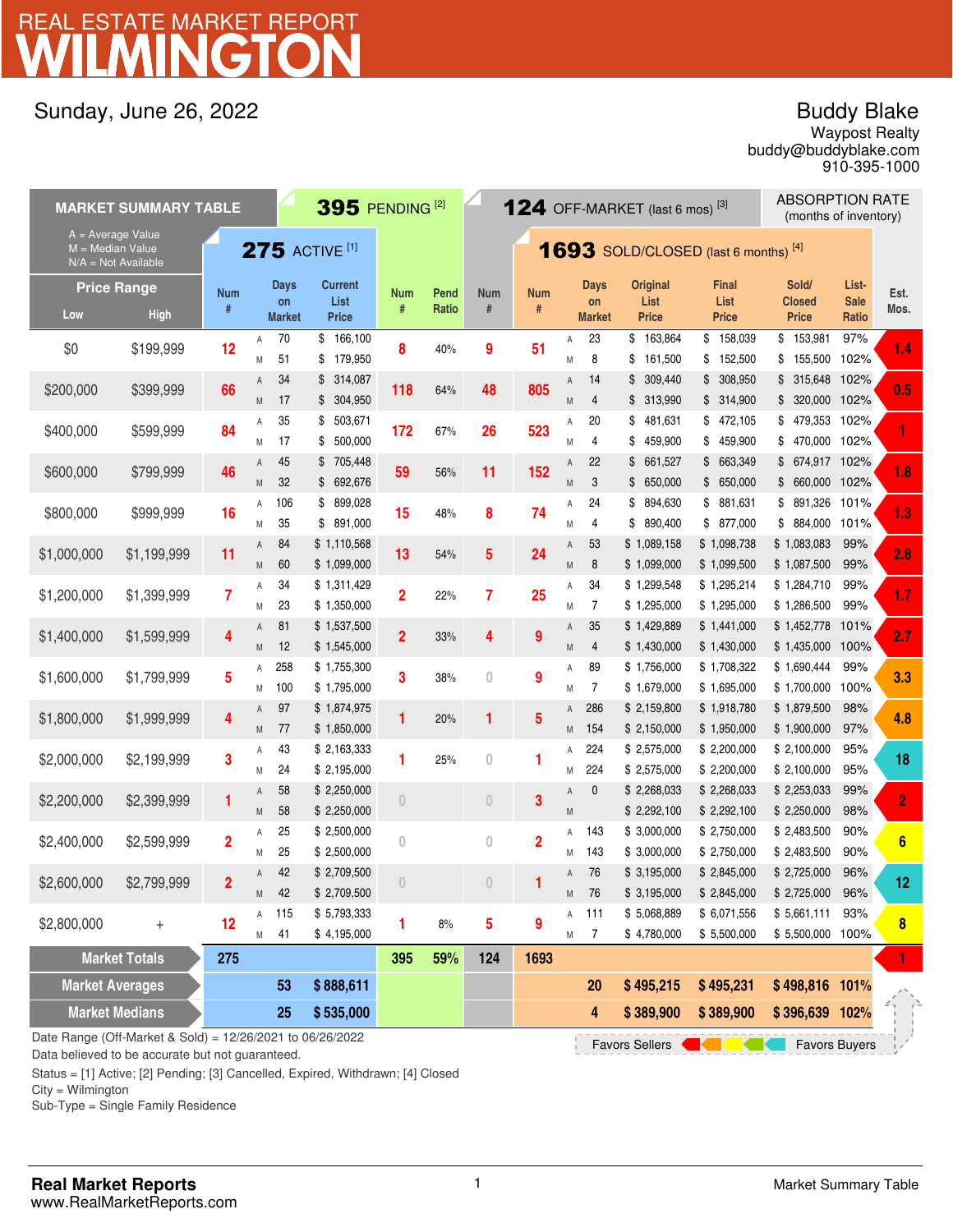# WILMINGTON REAL ESTATE MARKET REPORT

## Sunday, June 26, 2022

## Buddy Blake

buddy@buddyblake.com Waypost Realty 910-395-1000

| $395$ PENDING <sup>[2]</sup><br><b>MARKET SUMMARY TABLE</b>                                                                                 |                                   |                         |        |                                    |                                        |                |                                             |                         |                         |        | <b>124</b> OFF-MARKET (last 6 mos) <sup>[3]</sup> |                                         | <b>ABSORPTION RATE</b><br>(months of inventory) |                                        |                               |                 |
|---------------------------------------------------------------------------------------------------------------------------------------------|-----------------------------------|-------------------------|--------|------------------------------------|----------------------------------------|----------------|---------------------------------------------|-------------------------|-------------------------|--------|---------------------------------------------------|-----------------------------------------|-------------------------------------------------|----------------------------------------|-------------------------------|-----------------|
| A = Average Value<br>$275$ ACTIVE [1]<br>$M = Median Value$<br>$N/A = Not Available$                                                        |                                   |                         |        |                                    |                                        |                | <b>1693</b> SOLD/CLOSED (last 6 months) [4] |                         |                         |        |                                                   |                                         |                                                 |                                        |                               |                 |
| Low                                                                                                                                         | <b>Price Range</b><br><b>High</b> | <b>Num</b><br>#         |        | <b>Days</b><br>on<br><b>Market</b> | <b>Current</b><br>List<br><b>Price</b> | Num<br>#       | Pend<br>Ratio                               | <b>Num</b><br>$\#$      | <b>Num</b><br>#         |        | Days<br>on<br><b>Market</b>                       | <b>Original</b><br>List<br><b>Price</b> | <b>Final</b><br>List<br><b>Price</b>            | Sold/<br><b>Closed</b><br><b>Price</b> | List-<br><b>Sale</b><br>Ratio | Est.<br>Mos.    |
| \$0                                                                                                                                         | \$199,999                         | 12                      | Α<br>M | 70<br>51                           | \$166,100<br>\$<br>179,950             | 8              | 40%                                         | 9                       | 51                      | Α<br>M | 23<br>8                                           | 163,864<br>\$<br>161,500<br>\$          | \$<br>158,039<br>\$152,500                      | \$153,981<br>\$155,500                 | 97%<br>102%                   | 1.4             |
| \$200,000                                                                                                                                   | \$399,999                         | 66                      | Α<br>M | 34<br>17                           | \$314,087<br>\$304,950                 | 118            | 64%                                         | 48                      | 805                     | Α<br>M | 14<br>4                                           | 309,440<br>\$<br>\$ 313,990             | \$308,950<br>\$314,900                          | \$315,648<br>\$320,000                 | 102%<br>102%                  | 0.5             |
| \$400,000                                                                                                                                   | \$599,999                         | 84                      | Α<br>M | 35<br>17                           | 503,671<br>\$<br>500,000<br>\$         | 172            | 67%                                         | 26                      | 523                     | Α<br>M | 20<br>4                                           | 481,631<br>\$<br>459,900<br>\$          | \$472,105<br>\$459,900                          | \$479,353<br>\$470,000                 | 102%<br>102%                  |                 |
| \$600,000                                                                                                                                   | \$799,999                         | 46                      | Α<br>M | 45<br>32                           | \$705,448<br>\$692,676                 | 59             | 56%                                         | 11                      | 152                     | Α<br>M | 22<br>3                                           | 661,527<br>\$<br>\$650,000              | \$663,349<br>\$650,000                          | \$ 674,917 102%<br>\$660,000           | 102%                          | 1.8             |
| \$800,000                                                                                                                                   | \$999,999                         | 16                      | Α<br>M | 106<br>35                          | \$899,028<br>891,000<br>\$             | 15             | 48%                                         | 8                       | 74                      | Α<br>M | 24<br>4                                           | 894,630<br>\$<br>890,400<br>\$          | \$881,631<br>\$877,000                          | \$891,326<br>\$884,000                 | 101%<br>101%                  | 1.3             |
| \$1,000,000                                                                                                                                 | \$1,199,999                       | 11                      | A<br>M | 84<br>60                           | \$1,110,568<br>\$1,099,000             | 13             | 54%                                         | $\overline{\mathbf{5}}$ | 24                      | Α<br>M | 53<br>8                                           | \$1,089,158<br>\$1,099,000              | \$1,098,738<br>\$1,099,500                      | \$1,083,083<br>\$1,087,500             | 99%<br>99%                    | 2.8             |
| \$1,200,000                                                                                                                                 | \$1,399,999                       | $\overline{7}$          | Α<br>M | 34<br>23                           | \$1,311,429<br>\$1,350,000             | 2              | 22%                                         | 7                       | 25                      | Α<br>Μ | 34<br>7                                           | \$1,299,548<br>\$1,295,000              | \$1,295,214<br>\$1,295,000                      | \$1,284,710<br>\$1,286,500             | 99%<br>99%                    | 1.7             |
| \$1,400,000                                                                                                                                 | \$1,599,999                       | 4                       | A<br>M | 81<br>12                           | \$1,537,500<br>\$1,545,000             | $\overline{2}$ | 33%                                         | 4                       | 9                       | Α<br>M | 35<br>$\overline{4}$                              | \$1,429,889<br>\$1,430,000              | \$1,441,000<br>\$1,430,000                      | \$1,452,778<br>\$1,435,000             | 101%<br>100%                  | 2.7             |
| \$1,600,000                                                                                                                                 | \$1,799,999                       | 5                       | Α<br>Μ | 258<br>100                         | \$1,755,300<br>\$1,795,000             | 3              | 38%                                         | $\bf{0}$                | 9                       | Α<br>M | 89<br>7                                           | \$1,756,000<br>\$1,679,000              | \$1,708,322<br>\$1,695,000                      | \$1,690,444<br>\$1,700,000             | 99%<br>100%                   | 3.3             |
| \$1,800,000                                                                                                                                 | \$1,999,999                       | 4                       | Α<br>M | 97<br>77                           | \$1,874,975<br>\$1,850,000             | 1              | 20%                                         | 1                       | 5                       | A<br>M | 286<br>154                                        | \$2,159,800<br>\$2,150,000              | \$1,918,780<br>\$1,950,000                      | \$1,879,500<br>\$1,900,000             | 98%<br>97%                    | 4.8             |
| \$2,000,000                                                                                                                                 | \$2,199,999                       | 3                       | Α<br>M | 43<br>24                           | \$2,163,333<br>\$2,195,000             | 1              | 25%                                         | $\bf{0}$                | 1                       | Α<br>M | 224<br>224                                        | \$2,575,000<br>\$2,575,000              | \$2,200,000<br>\$2,200,000                      | \$2,100,000<br>\$2,100,000             | 95%<br>95%                    | 18              |
| \$2,200,000                                                                                                                                 | \$2,399,999                       | 1                       | Α<br>M | 58<br>58                           | \$2,250,000<br>\$2,250,000             | $\theta$       |                                             | $\theta$                | 3                       | Α<br>M | 0                                                 | \$2,268,033<br>\$2,292,100              | \$2,268,033<br>\$2,292,100                      | \$2,253,033<br>\$2,250,000             | 99%<br>98%                    | $\overline{2}$  |
| \$2,400,000                                                                                                                                 | \$2,599,999                       | $\overline{\mathbf{2}}$ | Α<br>M | 25<br>25                           | \$2,500,000<br>\$2,500,000             | 0              |                                             | $\overline{0}$          | $\overline{\mathbf{c}}$ | Α<br>M | 143<br>143                                        | \$3,000,000<br>\$3,000,000              | \$2,750,000<br>\$2,750,000                      | \$2,483,500<br>\$2,483,500             | 90%<br>90%                    | $6\phantom{1}6$ |
| \$2,600,000                                                                                                                                 | \$2,799,999                       | $\overline{2}$          | Α<br>M | 42<br>42                           | \$2,709,500<br>\$2,709,500             | $\Omega$       |                                             | $\theta$                |                         | A<br>M | 76<br>76                                          | \$ 3,195,000<br>\$ 3,195,000            | \$2,845,000<br>\$2,845,000                      | \$2,725,000<br>\$2,725,000             | 96%<br>96%                    | 12              |
| \$2,800,000                                                                                                                                 | $^{+}$                            | 12                      | Α<br>M | 115<br>41                          | \$5,793,333<br>\$4,195,000             |                | $8\%$                                       | 5                       | 9                       | Α<br>M | 111<br>$\overline{7}$                             | \$5,068,889<br>\$4,780,000              | \$6,071,556<br>\$5,500,000                      | \$5,661,111<br>\$5,500,000 100%        | 93%                           | 8               |
| <b>Market Averages</b>                                                                                                                      | <b>Market Totals</b>              | 275                     |        | 53                                 | \$888,611                              | 395            | 59%                                         | 124                     | 1693                    |        | <b>20</b>                                         | \$495,215                               | \$495,231                                       | \$498,816 101%                         |                               | 1.              |
|                                                                                                                                             | <b>Market Medians</b>             |                         |        | 25                                 | \$535,000                              |                |                                             |                         |                         |        | 4                                                 | \$389,900                               | \$389,900                                       | \$396,639 102%                         |                               |                 |
| Date Range (Off-Market & Sold) = 12/26/2021 to 06/26/2022<br><b>Maria Alexander School</b><br><b>Favors Sellers</b><br><b>Favors Buyers</b> |                                   |                         |        |                                    |                                        |                |                                             |                         |                         |        |                                                   |                                         |                                                 |                                        |                               |                 |

Data believed to be accurate but not guaranteed.

Status = [1] Active; [2] Pending; [3] Cancelled, Expired, Withdrawn; [4] Closed

City = Wilmington

Sub-Type = Single Family Residence